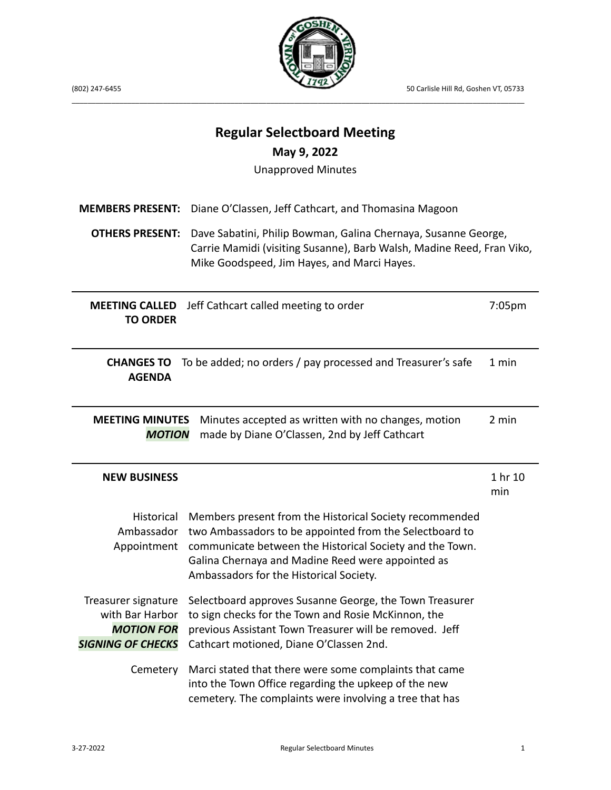

**Regular Selectboard Meeting**

(802) 247-6455 50 Carlisle Hill Rd, Goshen VT, 05733

| May 9, 2022                                                                                                                                              |                                                                                                                                                                                                                                                                                |                |  |  |
|----------------------------------------------------------------------------------------------------------------------------------------------------------|--------------------------------------------------------------------------------------------------------------------------------------------------------------------------------------------------------------------------------------------------------------------------------|----------------|--|--|
| <b>Unapproved Minutes</b>                                                                                                                                |                                                                                                                                                                                                                                                                                |                |  |  |
| <b>MEMBERS PRESENT:</b>                                                                                                                                  | Diane O'Classen, Jeff Cathcart, and Thomasina Magoon                                                                                                                                                                                                                           |                |  |  |
| <b>OTHERS PRESENT:</b>                                                                                                                                   | Dave Sabatini, Philip Bowman, Galina Chernaya, Susanne George,<br>Carrie Mamidi (visiting Susanne), Barb Walsh, Madine Reed, Fran Viko,<br>Mike Goodspeed, Jim Hayes, and Marci Hayes.                                                                                         |                |  |  |
| <b>MEETING CALLED</b><br><b>TO ORDER</b>                                                                                                                 | Jeff Cathcart called meeting to order                                                                                                                                                                                                                                          | 7:05pm         |  |  |
| <b>CHANGES TO</b><br><b>AGENDA</b>                                                                                                                       | To be added; no orders / pay processed and Treasurer's safe                                                                                                                                                                                                                    | 1 min          |  |  |
| 2 min<br><b>MEETING MINUTES</b><br>Minutes accepted as written with no changes, motion<br>made by Diane O'Classen, 2nd by Jeff Cathcart<br><b>MOTION</b> |                                                                                                                                                                                                                                                                                |                |  |  |
| <b>NEW BUSINESS</b>                                                                                                                                      |                                                                                                                                                                                                                                                                                | 1 hr 10<br>min |  |  |
| Historical<br>Ambassador<br>Appointment                                                                                                                  | Members present from the Historical Society recommended<br>two Ambassadors to be appointed from the Selectboard to<br>communicate between the Historical Society and the Town.<br>Galina Chernaya and Madine Reed were appointed as<br>Ambassadors for the Historical Society. |                |  |  |
| Treasurer signature<br>with Bar Harbor<br><b>MOTION FOR</b><br><b>SIGNING OF CHECKS</b>                                                                  | Selectboard approves Susanne George, the Town Treasurer<br>to sign checks for the Town and Rosie McKinnon, the<br>previous Assistant Town Treasurer will be removed. Jeff<br>Cathcart motioned, Diane O'Classen 2nd.                                                           |                |  |  |
| Cemetery                                                                                                                                                 | Marci stated that there were some complaints that came<br>into the Town Office regarding the upkeep of the new<br>cemetery. The complaints were involving a tree that has                                                                                                      |                |  |  |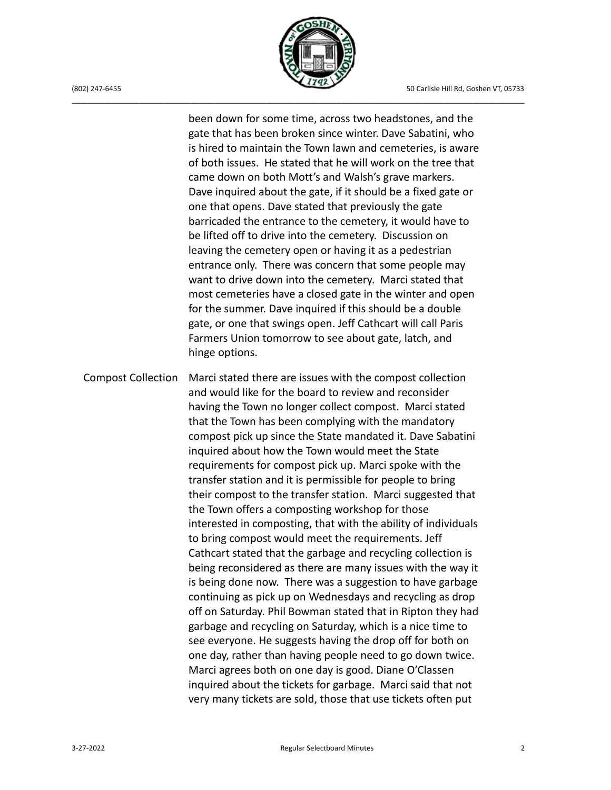

been down for some time, across two headstones, and the gate that has been broken since winter. Dave Sabatini, who is hired to maintain the Town lawn and cemeteries, is aware of both issues. He stated that he will work on the tree that came down on both Mott's and Walsh's grave markers. Dave inquired about the gate, if it should be a fixed gate or one that opens. Dave stated that previously the gate barricaded the entrance to the cemetery, it would have to be lifted off to drive into the cemetery. Discussion on leaving the cemetery open or having it as a pedestrian entrance only. There was concern that some people may want to drive down into the cemetery. Marci stated that most cemeteries have a closed gate in the winter and open for the summer. Dave inquired if this should be a double gate, or one that swings open. Jeff Cathcart will call Paris Farmers Union tomorrow to see about gate, latch, and hinge options.

Compost Collection Marci stated there are issues with the compost collection and would like for the board to review and reconsider having the Town no longer collect compost. Marci stated that the Town has been complying with the mandatory compost pick up since the State mandated it. Dave Sabatini inquired about how the Town would meet the State requirements for compost pick up. Marci spoke with the transfer station and it is permissible for people to bring their compost to the transfer station. Marci suggested that the Town offers a composting workshop for those interested in composting, that with the ability of individuals to bring compost would meet the requirements. Jeff Cathcart stated that the garbage and recycling collection is being reconsidered as there are many issues with the way it is being done now. There was a suggestion to have garbage continuing as pick up on Wednesdays and recycling as drop off on Saturday. Phil Bowman stated that in Ripton they had garbage and recycling on Saturday, which is a nice time to see everyone. He suggests having the drop off for both on one day, rather than having people need to go down twice. Marci agrees both on one day is good. Diane O'Classen inquired about the tickets for garbage. Marci said that not very many tickets are sold, those that use tickets often put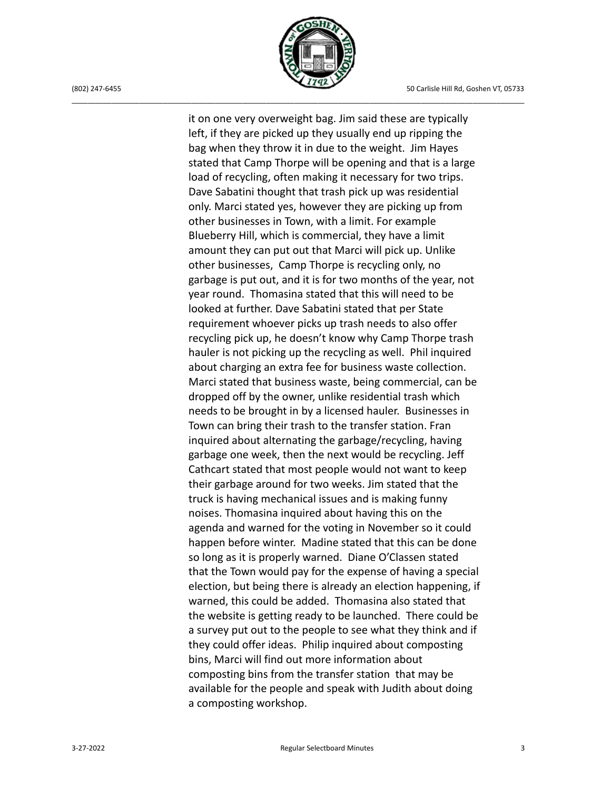

it on one very overweight bag. Jim said these are typically left, if they are picked up they usually end up ripping the bag when they throw it in due to the weight. Jim Hayes stated that Camp Thorpe will be opening and that is a large load of recycling, often making it necessary for two trips. Dave Sabatini thought that trash pick up was residential only. Marci stated yes, however they are picking up from other businesses in Town, with a limit. For example Blueberry Hill, which is commercial, they have a limit amount they can put out that Marci will pick up. Unlike other businesses, Camp Thorpe is recycling only, no garbage is put out, and it is for two months of the year, not year round. Thomasina stated that this will need to be looked at further. Dave Sabatini stated that per State requirement whoever picks up trash needs to also offer recycling pick up, he doesn't know why Camp Thorpe trash hauler is not picking up the recycling as well. Phil inquired about charging an extra fee for business waste collection. Marci stated that business waste, being commercial, can be dropped off by the owner, unlike residential trash which needs to be brought in by a licensed hauler. Businesses in Town can bring their trash to the transfer station. Fran inquired about alternating the garbage/recycling, having garbage one week, then the next would be recycling. Jeff Cathcart stated that most people would not want to keep their garbage around for two weeks. Jim stated that the truck is having mechanical issues and is making funny noises. Thomasina inquired about having this on the agenda and warned for the voting in November so it could happen before winter. Madine stated that this can be done so long as it is properly warned. Diane O'Classen stated that the Town would pay for the expense of having a special election, but being there is already an election happening, if warned, this could be added. Thomasina also stated that the website is getting ready to be launched. There could be a survey put out to the people to see what they think and if they could offer ideas. Philip inquired about composting bins, Marci will find out more information about composting bins from the transfer station that may be available for the people and speak with Judith about doing a composting workshop.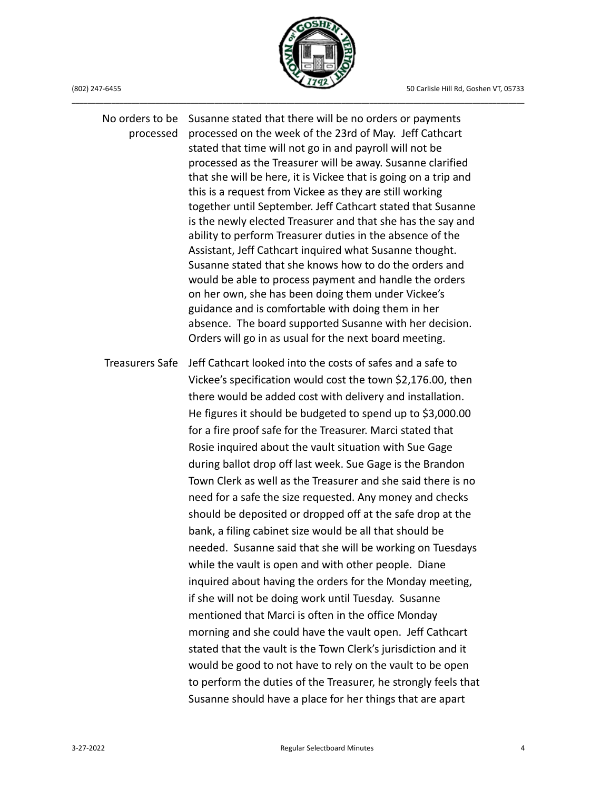

No orders to be Susanne stated that there will be no orders or payments processed processed on the week of the 23rd of May. Jeff Cathcart stated that time will not go in and payroll will not be processed as the Treasurer will be away. Susanne clarified that she will be here, it is Vickee that is going on a trip and this is a request from Vickee as they are still working together until September. Jeff Cathcart stated that Susanne is the newly elected Treasurer and that she has the say and ability to perform Treasurer duties in the absence of the Assistant, Jeff Cathcart inquired what Susanne thought. Susanne stated that she knows how to do the orders and would be able to process payment and handle the orders on her own, she has been doing them under Vickee's guidance and is comfortable with doing them in her absence. The board supported Susanne with her decision. Orders will go in as usual for the next board meeting. Treasurers Safe Jeff Cathcart looked into the costs of safes and a safe to Vickee's specification would cost the town \$2,176.00, then there would be added cost with delivery and installation. He figures it should be budgeted to spend up to \$3,000.00 for a fire proof safe for the Treasurer. Marci stated that Rosie inquired about the vault situation with Sue Gage during ballot drop off last week. Sue Gage is the Brandon Town Clerk as well as the Treasurer and she said there is no need for a safe the size requested. Any money and checks should be deposited or dropped off at the safe drop at the bank, a filing cabinet size would be all that should be needed. Susanne said that she will be working on Tuesdays while the vault is open and with other people. Diane inquired about having the orders for the Monday meeting, if she will not be doing work until Tuesday. Susanne mentioned that Marci is often in the office Monday morning and she could have the vault open. Jeff Cathcart stated that the vault is the Town Clerk's jurisdiction and it would be good to not have to rely on the vault to be open to perform the duties of the Treasurer, he strongly feels that Susanne should have a place for her things that are apart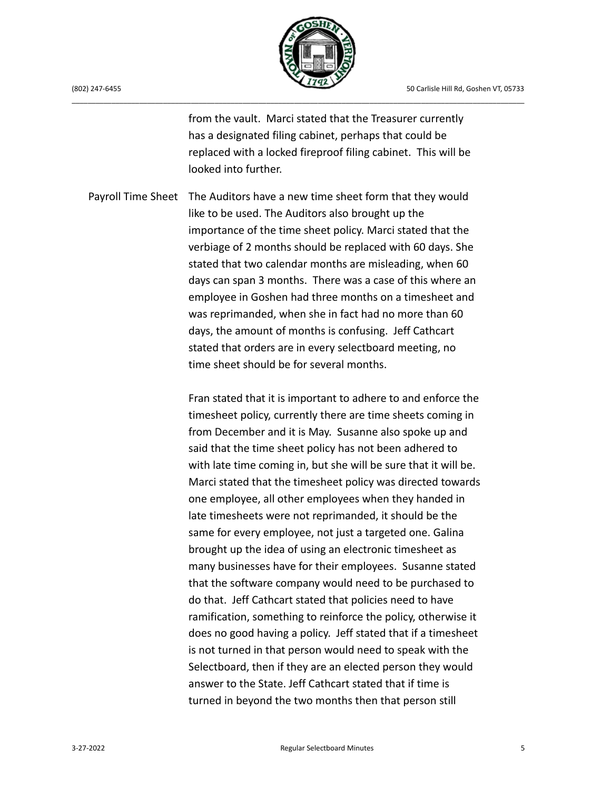

from the vault. Marci stated that the Treasurer currently has a designated filing cabinet, perhaps that could be replaced with a locked fireproof filing cabinet. This will be looked into further.

Payroll Time Sheet The Auditors have a new time sheet form that they would like to be used. The Auditors also brought up the importance of the time sheet policy. Marci stated that the verbiage of 2 months should be replaced with 60 days. She stated that two calendar months are misleading, when 60 days can span 3 months. There was a case of this where an employee in Goshen had three months on a timesheet and was reprimanded, when she in fact had no more than 60 days, the amount of months is confusing. Jeff Cathcart stated that orders are in every selectboard meeting, no time sheet should be for several months.

> Fran stated that it is important to adhere to and enforce the timesheet policy, currently there are time sheets coming in from December and it is May. Susanne also spoke up and said that the time sheet policy has not been adhered to with late time coming in, but she will be sure that it will be. Marci stated that the timesheet policy was directed towards one employee, all other employees when they handed in late timesheets were not reprimanded, it should be the same for every employee, not just a targeted one. Galina brought up the idea of using an electronic timesheet as many businesses have for their employees. Susanne stated that the software company would need to be purchased to do that. Jeff Cathcart stated that policies need to have ramification, something to reinforce the policy, otherwise it does no good having a policy. Jeff stated that if a timesheet is not turned in that person would need to speak with the Selectboard, then if they are an elected person they would answer to the State. Jeff Cathcart stated that if time is turned in beyond the two months then that person still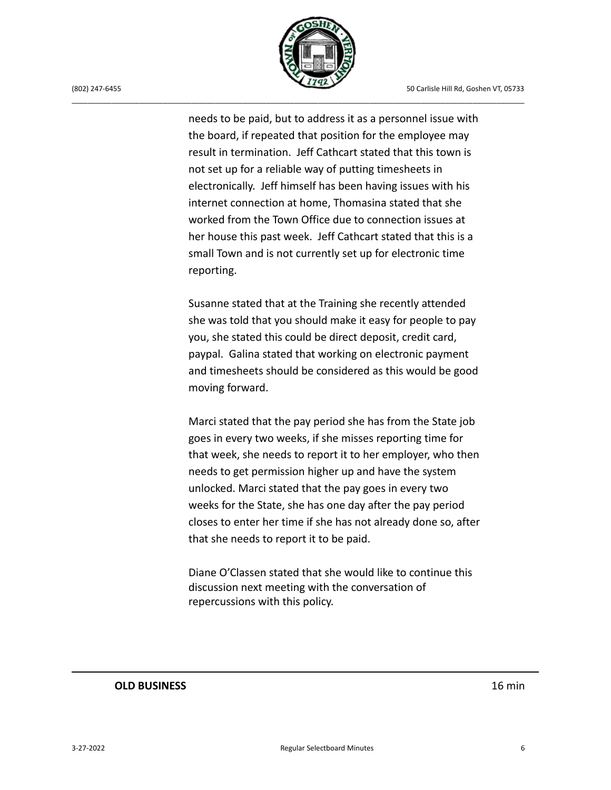

needs to be paid, but to address it as a personnel issue with the board, if repeated that position for the employee may result in termination. Jeff Cathcart stated that this town is not set up for a reliable way of putting timesheets in electronically. Jeff himself has been having issues with his internet connection at home, Thomasina stated that she worked from the Town Office due to connection issues at her house this past week. Jeff Cathcart stated that this is a small Town and is not currently set up for electronic time reporting.

Susanne stated that at the Training she recently attended she was told that you should make it easy for people to pay you, she stated this could be direct deposit, credit card, paypal. Galina stated that working on electronic payment and timesheets should be considered as this would be good moving forward.

Marci stated that the pay period she has from the State job goes in every two weeks, if she misses reporting time for that week, she needs to report it to her employer, who then needs to get permission higher up and have the system unlocked. Marci stated that the pay goes in every two weeks for the State, she has one day after the pay period closes to enter her time if she has not already done so, after that she needs to report it to be paid.

Diane O'Classen stated that she would like to continue this discussion next meeting with the conversation of repercussions with this policy.

## **OLD BUSINESS** 16 min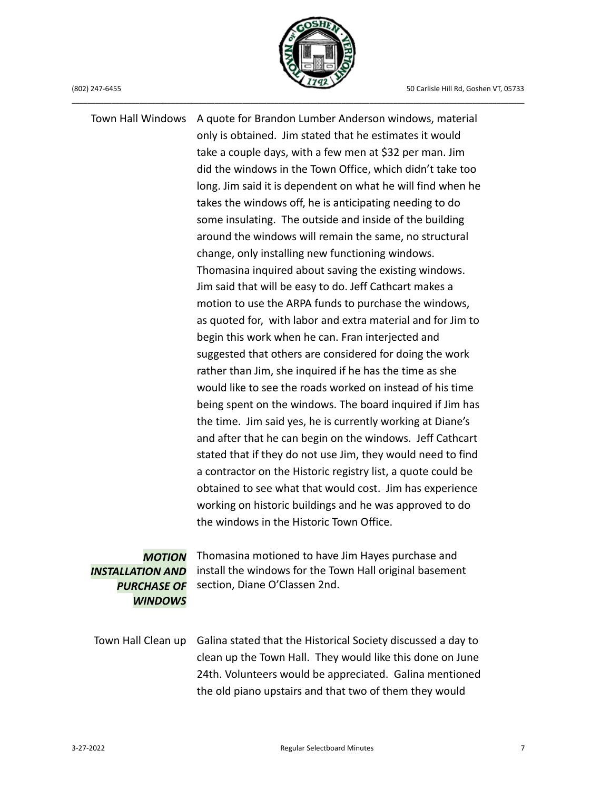

Town Hall Windows A quote for Brandon Lumber Anderson windows, material only is obtained. Jim stated that he estimates it would take a couple days, with a few men at \$32 per man. Jim did the windows in the Town Office, which didn't take too long. Jim said it is dependent on what he will find when he takes the windows off, he is anticipating needing to do some insulating. The outside and inside of the building around the windows will remain the same, no structural change, only installing new functioning windows. Thomasina inquired about saving the existing windows. Jim said that will be easy to do. Jeff Cathcart makes a motion to use the ARPA funds to purchase the windows, as quoted for, with labor and extra material and for Jim to begin this work when he can. Fran interjected and suggested that others are considered for doing the work rather than Jim, she inquired if he has the time as she would like to see the roads worked on instead of his time being spent on the windows. The board inquired if Jim has the time. Jim said yes, he is currently working at Diane's and after that he can begin on the windows. Jeff Cathcart stated that if they do not use Jim, they would need to find a contractor on the Historic registry list, a quote could be obtained to see what that would cost. Jim has experience working on historic buildings and he was approved to do the windows in the Historic Town Office.

## *MOTION INSTALLATION AND PURCHASE OF WINDOWS*

Thomasina motioned to have Jim Hayes purchase and install the windows for the Town Hall original basement section, Diane O'Classen 2nd.

Town Hall Clean up Galina stated that the Historical Society discussed a day to clean up the Town Hall. They would like this done on June 24th. Volunteers would be appreciated. Galina mentioned the old piano upstairs and that two of them they would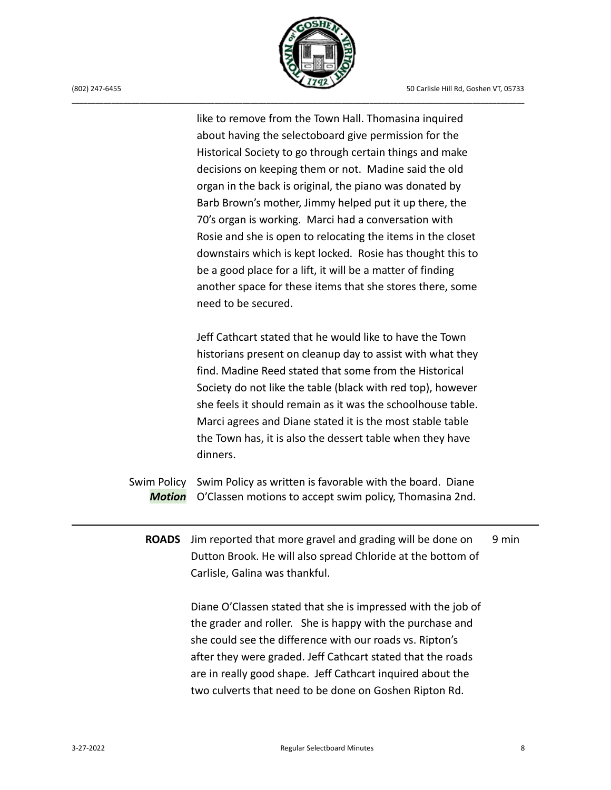

like to remove from the Town Hall. Thomasina inquired about having the selectoboard give permission for the Historical Society to go through certain things and make decisions on keeping them or not. Madine said the old organ in the back is original, the piano was donated by Barb Brown's mother, Jimmy helped put it up there, the 70's organ is working. Marci had a conversation with Rosie and she is open to relocating the items in the closet downstairs which is kept locked. Rosie has thought this to be a good place for a lift, it will be a matter of finding another space for these items that she stores there, some need to be secured.

Jeff Cathcart stated that he would like to have the Town historians present on cleanup day to assist with what they find. Madine Reed stated that some from the Historical Society do not like the table (black with red top), however she feels it should remain as it was the schoolhouse table. Marci agrees and Diane stated it is the most stable table the Town has, it is also the dessert table when they have dinners.

- Swim Policy Swim Policy as written is favorable with the board. Diane *Motion* O'Classen motions to accept swim policy, Thomasina 2nd.
	- **ROADS** Jim reported that more gravel and grading will be done on Dutton Brook. He will also spread Chloride at the bottom of Carlisle, Galina was thankful. 9 min

Diane O'Classen stated that she is impressed with the job of the grader and roller. She is happy with the purchase and she could see the difference with our roads vs. Ripton's after they were graded. Jeff Cathcart stated that the roads are in really good shape. Jeff Cathcart inquired about the two culverts that need to be done on Goshen Ripton Rd.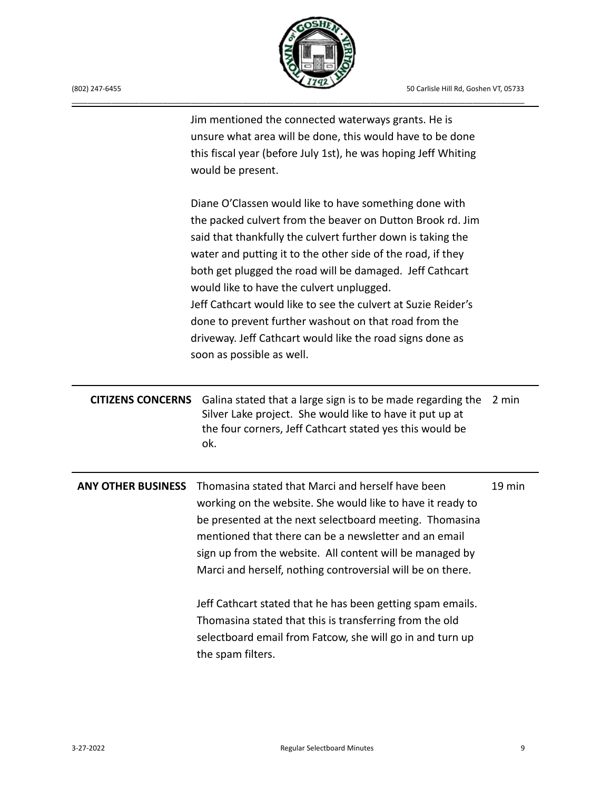

| (802) 247-6455 |
|----------------|

|                           | Jim mentioned the connected waterways grants. He is<br>unsure what area will be done, this would have to be done<br>this fiscal year (before July 1st), he was hoping Jeff Whiting<br>would be present.                                                                                                                                                                                                                                                                                                                                                                         |        |
|---------------------------|---------------------------------------------------------------------------------------------------------------------------------------------------------------------------------------------------------------------------------------------------------------------------------------------------------------------------------------------------------------------------------------------------------------------------------------------------------------------------------------------------------------------------------------------------------------------------------|--------|
|                           | Diane O'Classen would like to have something done with<br>the packed culvert from the beaver on Dutton Brook rd. Jim<br>said that thankfully the culvert further down is taking the<br>water and putting it to the other side of the road, if they<br>both get plugged the road will be damaged. Jeff Cathcart<br>would like to have the culvert unplugged.<br>Jeff Cathcart would like to see the culvert at Suzie Reider's<br>done to prevent further washout on that road from the<br>driveway. Jeff Cathcart would like the road signs done as<br>soon as possible as well. |        |
| <b>CITIZENS CONCERNS</b>  | Galina stated that a large sign is to be made regarding the<br>Silver Lake project. She would like to have it put up at<br>the four corners, Jeff Cathcart stated yes this would be<br>ok.                                                                                                                                                                                                                                                                                                                                                                                      | 2 min  |
| <b>ANY OTHER BUSINESS</b> | Thomasina stated that Marci and herself have been<br>working on the website. She would like to have it ready to<br>be presented at the next selectboard meeting. Thomasina<br>mentioned that there can be a newsletter and an email<br>sign up from the website. All content will be managed by<br>Marci and herself, nothing controversial will be on there.                                                                                                                                                                                                                   | 19 min |
|                           | Jeff Cathcart stated that he has been getting spam emails.<br>Thomasina stated that this is transferring from the old<br>selectboard email from Fatcow, she will go in and turn up<br>the spam filters.                                                                                                                                                                                                                                                                                                                                                                         |        |